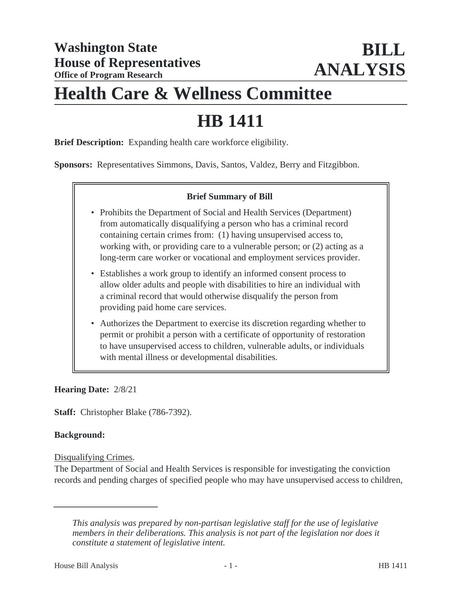# **Health Care & Wellness Committee**

# **HB 1411**

**Brief Description:** Expanding health care workforce eligibility.

**Sponsors:** Representatives Simmons, Davis, Santos, Valdez, Berry and Fitzgibbon.

#### **Brief Summary of Bill**

- Prohibits the Department of Social and Health Services (Department) from automatically disqualifying a person who has a criminal record containing certain crimes from: (1) having unsupervised access to, working with, or providing care to a vulnerable person; or (2) acting as a long-term care worker or vocational and employment services provider.
- Establishes a work group to identify an informed consent process to allow older adults and people with disabilities to hire an individual with a criminal record that would otherwise disqualify the person from providing paid home care services.
- Authorizes the Department to exercise its discretion regarding whether to permit or prohibit a person with a certificate of opportunity of restoration to have unsupervised access to children, vulnerable adults, or individuals with mental illness or developmental disabilities.

**Hearing Date:** 2/8/21

**Staff:** Christopher Blake (786-7392).

#### **Background:**

Disqualifying Crimes.

The Department of Social and Health Services is responsible for investigating the conviction records and pending charges of specified people who may have unsupervised access to children,

*This analysis was prepared by non-partisan legislative staff for the use of legislative members in their deliberations. This analysis is not part of the legislation nor does it constitute a statement of legislative intent.*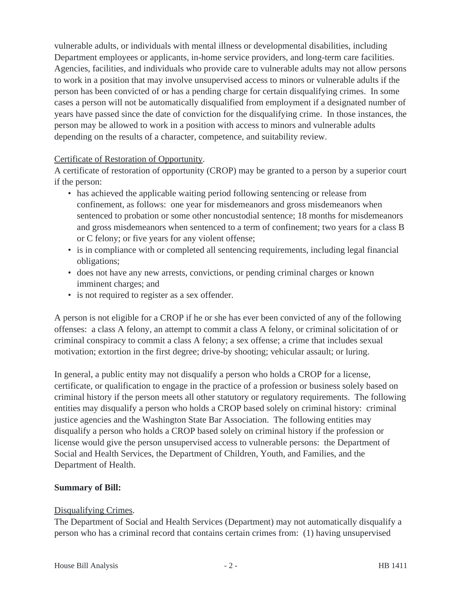vulnerable adults, or individuals with mental illness or developmental disabilities, including Department employees or applicants, in-home service providers, and long-term care facilities. Agencies, facilities, and individuals who provide care to vulnerable adults may not allow persons to work in a position that may involve unsupervised access to minors or vulnerable adults if the person has been convicted of or has a pending charge for certain disqualifying crimes. In some cases a person will not be automatically disqualified from employment if a designated number of years have passed since the date of conviction for the disqualifying crime. In those instances, the person may be allowed to work in a position with access to minors and vulnerable adults depending on the results of a character, competence, and suitability review.

# Certificate of Restoration of Opportunity.

A certificate of restoration of opportunity (CROP) may be granted to a person by a superior court if the person:

- has achieved the applicable waiting period following sentencing or release from confinement, as follows: one year for misdemeanors and gross misdemeanors when sentenced to probation or some other noncustodial sentence; 18 months for misdemeanors and gross misdemeanors when sentenced to a term of confinement; two years for a class B or C felony; or five years for any violent offense;
- is in compliance with or completed all sentencing requirements, including legal financial obligations;
- does not have any new arrests, convictions, or pending criminal charges or known imminent charges; and
- is not required to register as a sex offender.

A person is not eligible for a CROP if he or she has ever been convicted of any of the following offenses: a class A felony, an attempt to commit a class A felony, or criminal solicitation of or criminal conspiracy to commit a class A felony; a sex offense; a crime that includes sexual motivation; extortion in the first degree; drive-by shooting; vehicular assault; or luring.

In general, a public entity may not disqualify a person who holds a CROP for a license, certificate, or qualification to engage in the practice of a profession or business solely based on criminal history if the person meets all other statutory or regulatory requirements. The following entities may disqualify a person who holds a CROP based solely on criminal history: criminal justice agencies and the Washington State Bar Association. The following entities may disqualify a person who holds a CROP based solely on criminal history if the profession or license would give the person unsupervised access to vulnerable persons: the Department of Social and Health Services, the Department of Children, Youth, and Families, and the Department of Health.

# **Summary of Bill:**

# Disqualifying Crimes.

The Department of Social and Health Services (Department) may not automatically disqualify a person who has a criminal record that contains certain crimes from: (1) having unsupervised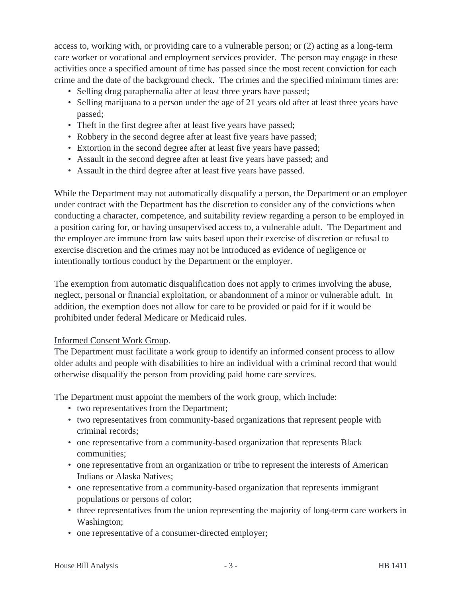access to, working with, or providing care to a vulnerable person; or (2) acting as a long-term care worker or vocational and employment services provider. The person may engage in these activities once a specified amount of time has passed since the most recent conviction for each crime and the date of the background check. The crimes and the specified minimum times are:

- Selling drug paraphernalia after at least three years have passed;
- Selling marijuana to a person under the age of 21 years old after at least three years have passed;
- Theft in the first degree after at least five years have passed;
- Robbery in the second degree after at least five years have passed;
- Extortion in the second degree after at least five years have passed;
- Assault in the second degree after at least five years have passed; and
- Assault in the third degree after at least five years have passed.

While the Department may not automatically disqualify a person, the Department or an employer under contract with the Department has the discretion to consider any of the convictions when conducting a character, competence, and suitability review regarding a person to be employed in a position caring for, or having unsupervised access to, a vulnerable adult. The Department and the employer are immune from law suits based upon their exercise of discretion or refusal to exercise discretion and the crimes may not be introduced as evidence of negligence or intentionally tortious conduct by the Department or the employer.

The exemption from automatic disqualification does not apply to crimes involving the abuse, neglect, personal or financial exploitation, or abandonment of a minor or vulnerable adult. In addition, the exemption does not allow for care to be provided or paid for if it would be prohibited under federal Medicare or Medicaid rules.

#### Informed Consent Work Group.

The Department must facilitate a work group to identify an informed consent process to allow older adults and people with disabilities to hire an individual with a criminal record that would otherwise disqualify the person from providing paid home care services.

The Department must appoint the members of the work group, which include:

- two representatives from the Department;
- two representatives from community-based organizations that represent people with criminal records;
- one representative from a community-based organization that represents Black communities;
- one representative from an organization or tribe to represent the interests of American Indians or Alaska Natives;
- one representative from a community-based organization that represents immigrant populations or persons of color;
- three representatives from the union representing the majority of long-term care workers in Washington;
- one representative of a consumer-directed employer;